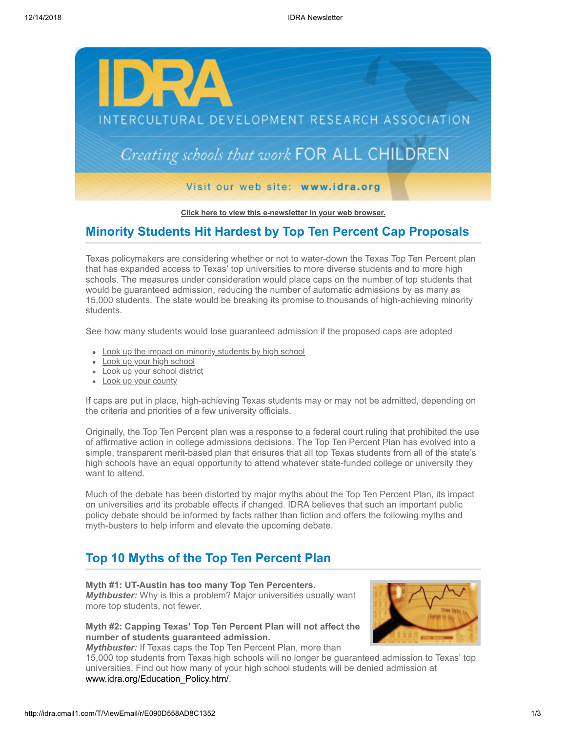

**[Click here to view this e-newsletter in your web browser.](http://idra.createsend1.com/t/r/e/trlrll/l/)**

## **Minority Students Hit Hardest by Top Ten Percent Cap Proposals**

Texas policymakers are considering whether or not to water-down the Texas Top Ten Percent plan that has expanded access to Texas' top universities to more diverse students and to more high schools. The measures under consideration would place caps on the number of top students that would be guaranteed admission, reducing the number of automatic admissions by as many as 15,000 students. The state would be breaking its promise to thousands of high-achieving minority students.

See how many students would lose guaranteed admission if the proposed caps are adopted

- [Look up the impact on minority students by high school](http://idra.createsend1.com/t/r/l/trlrll/l/y)
- [Look up your high school](http://idra.createsend1.com/t/r/l/trlrll/l/j)
- [Look up your school district](http://idra.createsend1.com/t/r/l/trlrll/l/t)
- [Look up your county](http://idra.createsend1.com/t/r/l/trlrll/l/i)

If caps are put in place, high-achieving Texas students may or may not be admitted, depending on the criteria and priorities of a few university officials.

Originally, the Top Ten Percent plan was a response to a federal court ruling that prohibited the use of affirmative action in college admissions decisions. The Top Ten Percent Plan has evolved into a simple, transparent merit-based plan that ensures that all top Texas students from all of the state's high schools have an equal opportunity to attend whatever state-funded college or university they want to attend.

Much of the debate has been distorted by major myths about the Top Ten Percent Plan, its impact on universities and its probable effects if changed. IDRA believes that such an important public policy debate should be informed by facts rather than fiction and offers the following myths and myth-busters to help inform and elevate the upcoming debate.

# **Top 10 Myths of the Top Ten Percent Plan**

**Myth #1: UT-Austin has too many Top Ten Percenters.** *Mythbuster:* Why is this a problem? Major universities usually want more top students, not fewer.

### **Myth #2: Capping Texas' Top Ten Percent Plan will not affect the number of students guaranteed admission.**

*Mythbuster:* If Texas caps the Top Ten Percent Plan, more than

15,000 top students from Texas high schools will no longer be guaranteed admission to Texas' top universities. Find out how many of your high school students will be denied admission at [www.idra.org/Education\\_Policy.htm/](http://idra.createsend1.com/t/r/l/trlrll/l/d).

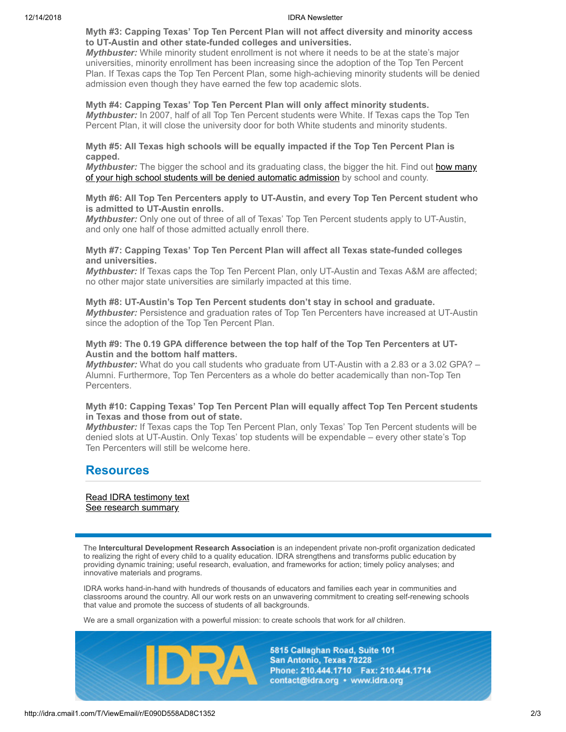#### 12/14/2018 IDRA Newsletter

#### **Myth #3: Capping Texas' Top Ten Percent Plan will not affect diversity and minority access to UT-Austin and other state-funded colleges and universities.**

*Mythbuster:* While minority student enrollment is not where it needs to be at the state's major universities, minority enrollment has been increasing since the adoption of the Top Ten Percent Plan. If Texas caps the Top Ten Percent Plan, some high-achieving minority students will be denied admission even though they have earned the few top academic slots.

#### **Myth #4: Capping Texas' Top Ten Percent Plan will only affect minority students.** *Mythbuster:* In 2007, half of all Top Ten Percent students were White. If Texas caps the Top Ten Percent Plan, it will close the university door for both White students and minority students.

#### **Myth #5: All Texas high schools will be equally impacted if the Top Ten Percent Plan is capped.**

Mythbuster: The bigger the school and its graduating class, the bigger the hit. Find out how many [of your high school students will be denied automatic admission by school and county.](http://idra.createsend1.com/t/r/l/trlrll/l/h)

#### **Myth #6: All Top Ten Percenters apply to UT-Austin, and every Top Ten Percent student who is admitted to UT-Austin enrolls.**

*Mythbuster:* Only one out of three of all of Texas' Top Ten Percent students apply to UT-Austin, and only one half of those admitted actually enroll there.

#### **Myth #7: Capping Texas' Top Ten Percent Plan will affect all Texas state-funded colleges and universities.**

*Mythbuster:* If Texas caps the Top Ten Percent Plan, only UT-Austin and Texas A&M are affected; no other major state universities are similarly impacted at this time.

# **Myth #8: UT-Austin's Top Ten Percent students don't stay in school and graduate.**

*Mythbuster:* Persistence and graduation rates of Top Ten Percenters have increased at UT-Austin since the adoption of the Top Ten Percent Plan.

#### **Myth #9: The 0.19 GPA difference between the top half of the Top Ten Percenters at UT-Austin and the bottom half matters.**

*Mythbuster:* What do you call students who graduate from UT-Austin with a 2.83 or a 3.02 GPA? – Alumni. Furthermore, Top Ten Percenters as a whole do better academically than non-Top Ten Percenters.

### **Myth #10: Capping Texas' Top Ten Percent Plan will equally affect Top Ten Percent students in Texas and those from out of state.**

*Mythbuster:* If Texas caps the Top Ten Percent Plan, only Texas' Top Ten Percent students will be denied slots at UT-Austin. Only Texas' top students will be expendable – every other state's Top Ten Percenters will still be welcome here.

### **Resources**

[Read IDRA testimony text](http://idra.createsend1.com/t/r/l/trlrll/l/k) [See research summary](http://idra.createsend1.com/t/r/l/trlrll/l/u)

The **Intercultural Development Research Association** is an independent private non-profit organization dedicated to realizing the right of every child to a quality education. IDRA strengthens and transforms public education by providing dynamic training; useful research, evaluation, and frameworks for action; timely policy analyses; and innovative materials and programs.

IDRA works hand-in-hand with hundreds of thousands of educators and families each year in communities and classrooms around the country. All our work rests on an unwavering commitment to creating self-renewing schools that value and promote the success of students of all backgrounds.

We are a small organization with a powerful mission: to create schools that work for *all* children.



5815 Callaghan Road, Suite 101 San Antonio, Texas 78228 Phone: 210.444.1710 Fax: 210.444.1714 contact@idra.org • www.idra.org